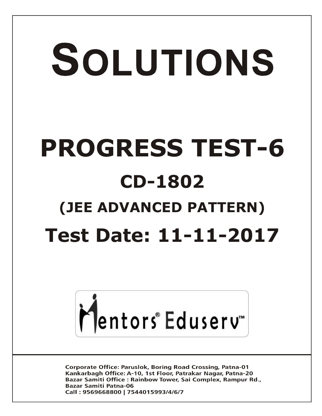# SOLUTIONS **PROGRESS TEST-6 CD-1802 (JEE ADVANCED PATTERN) Test Date: 11-11-2017**



**Corporate Office: Paruslok, Boring Road Crossing, Patna-01** Kankarbagh Office: A-10, 1st Floor, Patrakar Nagar, Patna-20 Bazar Samiti Office: Rainbow Tower, Sai Complex, Rampur Rd., **Bazar Samiti Patna-06** Call: 9569668800 | 7544015993/4/6/7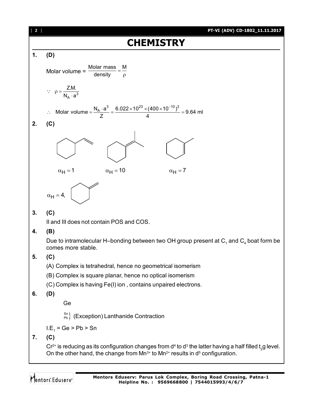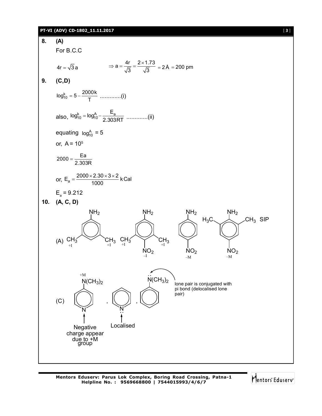#### **PT-VI (ADV) CD-1802\_11.11.2017** [ **3** ]

**8. (A)** For B.C.C 4r = √3 a  $a = \frac{4r}{\sqrt{2}} = \frac{2 \times 1.73}{\sqrt{2}}$  $\Rightarrow$  a =  $\frac{4r}{\sqrt{3}} = \frac{2 \times 1.73}{\sqrt{3}} = 2 \text{ Å} = 200 \text{ pm}$ **9. (C,D)**  $log_{10}^{k} = 5 - \frac{2000k}{T} \dots (i)$ also,  $log_{10}^{k} = log_{10}^{A} - \frac{E_a}{2.303}$  $log_{10}^{k} = log_{10}^{A} - \frac{E}{2.28}$ 2.303RT .............(ii) equating  $log_{10}^{A} = 5$ or,  $A = 10^5$  $2000 = \frac{\text{Ea}}{2.303 \text{R}}$ or,  $E_a = \frac{2000 \times 2.30 \times 3 \times 2}{1000}$  k Cal  $=\frac{2000\times2.30\times3\times2}{1000}$  $E_a = 9.212$ **10. (A, C, D)**  $(A)$  CH<sub>3</sub>  $NH<sub>2</sub>$  $CH_3 \longrightarrow CH_3 \quad CH_3 \quad CH_3 \quad \searrow \quad CH_3$  $NH<sub>2</sub>$  $NO<sub>2</sub>$  $NH<sub>2</sub>$  $NO<sub>2</sub>$  $NH<sub>2</sub>$  $NO<sub>2</sub>$  $H_3C \sim \ \bigtriangleup \sim$  CH<sub>3</sub> SIP  $-I$  –M  $CH<sub>3</sub>$ –M (C) N  $N$ (CH<sub>3</sub>)<sub>2</sub>  $+M$ Negative charge appear due to +M group , N Localised ,  $\mathsf{N}(\mathsf{CH}_3)_2$ lone pair is conjugated with pi bond (delocalised lone pair)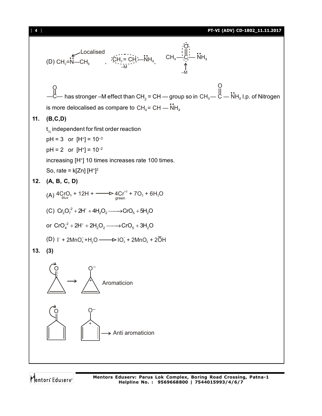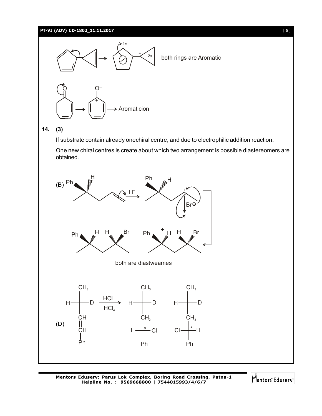

Mentors<sup>e</sup> Eduserv<sup>-</sup>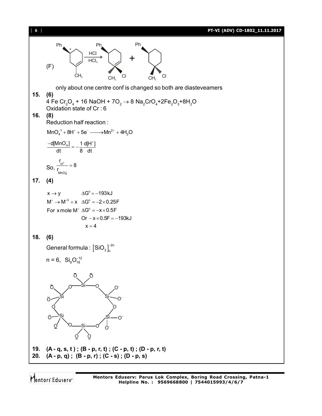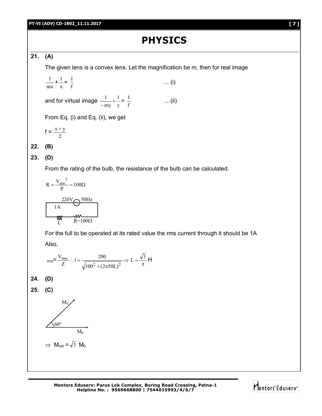## **PHYSICS**

#### **21. (A)**

The given lens is a convex lens. Let the magnification be m, then for real image

mx  $\frac{1}{\text{nx}} + \frac{1}{\text{x}}$  $\frac{1}{x} = \frac{1}{f}$ 1 ... (i) and for virtual image  $\frac{1}{-my} + \frac{1}{y}$ 1 my  $\frac{1}{-my} + \frac{1}{y} = \frac{1}{f}$ 1 ... (ii)

From Eq. (i) and Eq. (ii), we get

$$
f = \frac{x + y}{2}
$$

**22. (B)**

#### **23. (D)**

From the rating of the bulb, the resistance of the bulb can be calculated.

$$
R = \frac{V_{rms}^{2}}{P} = 100\Omega
$$
  
220V $\bigodot$  50Hz  
1A  
000 W

For the full to be operated at its rated value the rms current through it should be 1A Also,

$$
_{\text{rms}} = \frac{V_{\text{rms}}}{Z} \therefore 1 = \frac{200}{\sqrt{100^2 + (2\pi 50L)^2}} \Rightarrow L = \frac{\sqrt{3}}{\pi} H
$$

**24. (D)**

$$
25. (C)
$$

$$
M_0
$$
\n
$$
M_0
$$
\n
$$
M_0
$$
\n
$$
M_0
$$
\n
$$
\Rightarrow M_{\text{net}} = \sqrt{3} M_0
$$

**Mentors Eduserv: Parus Lok Complex, Boring Road Crossing, Patna-1 Helpline No. : 9569668800 | 7544015993/4/6/7**

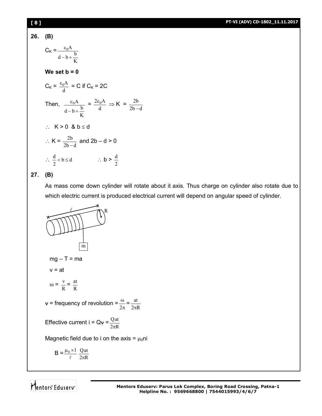#### **[ 8 ] PT-VI (ADV) CD-1802\_11.11.2017**

#### **26. (B)**

$$
C_{K} = \frac{\varepsilon_{0}A}{d - b + \frac{b}{K}}
$$
  
\nWe set  $b = 0$   
\n
$$
C_{K} = \frac{\varepsilon_{0}A}{d} = C \text{ if } C_{K} = 2C
$$
  
\nThen, 
$$
\frac{\varepsilon_{0}A}{d - b + \frac{b}{K}} = \frac{2\varepsilon_{0}A}{d} \Rightarrow K = \frac{2b}{2b - d}
$$
  
\n
$$
\therefore K > 0 \& b \le d
$$
  
\n
$$
\therefore K = \frac{2b}{2b - d} \text{ and } 2b - d > 0
$$
  
\n
$$
\therefore \frac{d}{2} < b \le d \qquad \therefore b > \frac{d}{2}
$$

#### **27. (B)**

As mass come down cylinder will rotate about it axis. Thus charge on cylinder also rotate due to which electric current is produced electrical current will depend on angular speed of cylinder.

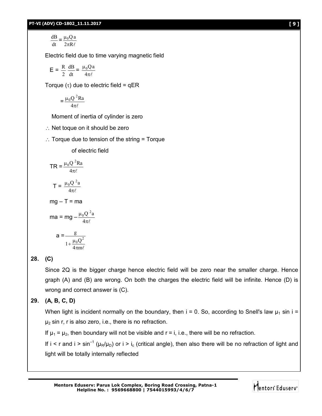dt  $\frac{dB}{dt} = \frac{\mu_0 Q a}{2 R^2}$  $2\pi R\ell$ 

Electric field due to time varying magnetic field

$$
E = \frac{R}{2} \frac{dB}{dt} = \frac{\mu_0 Qa}{4\pi \ell}
$$

Torque  $(\tau)$  due to electric field = qER

$$
=\frac{\mu_0 Q^2 Ra}{4\pi \ell}
$$

Moment of inertia of cylinder is zero

- $\therefore$  Net toque on it should be zero
- $\therefore$  Torque due to tension of the string = Torque

#### of electric field

$$
TR = \frac{\mu_0 Q^2 Ra}{4\pi \ell}
$$

$$
T = \frac{\mu_0 Q^2 a}{4\pi \ell}
$$

 $mg - T = ma$ 

$$
ma = mg - \frac{\mu_0 Q^2 a}{4\pi \ell}
$$

$$
a = \frac{g}{1 + \frac{\mu_0 Q^2}{4\pi m\ell}}
$$

**28. (C)**

Since 2Q is the bigger charge hence electric field will be zero near the smaller charge. Hence graph (A) and (B) are wrong. On both the charges the electric field will be infinite. Hence (D) is wrong and correct answer is (C).

### **29. (A, B, C, D)**

When light is incident normally on the boundary, then  $i = 0$ . So, according to Snell's law  $\mu_1$  sin  $i =$  $\mu_2$  sin r, r is also zero, i.e., there is no refraction.

If  $\mu_1 = \mu_2$ , then boundary will not be visible and  $r = i$ , i.e., there will be no refraction.

If i < r and i > sin<sup>-1</sup> ( $\mu_R/\mu_D$ ) or i > i<sub>c</sub> (critical angle), then also there will be no refraction of light and light will be totally internally reflected

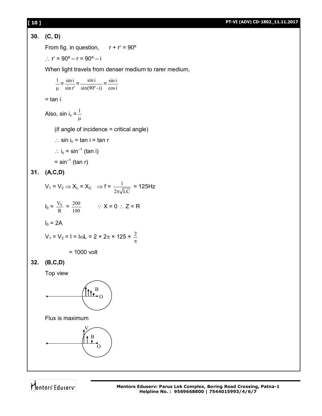#### **[ 10 ] PT-VI (ADV) CD-1802\_11.11.2017**

**30. (C, D)** From fig. in question,  $r + r' = 90^\circ$ :  $r' = 90^{\circ} - r = 90^{\circ} - i$ When light travels from denser medium to rarer medium, μ  $\frac{1}{\mu} = \frac{\sin i}{\sin r'}$  $\frac{\sin i}{\sin r'} = \frac{\sin i}{\sin(90^\circ - i)}$ sin i  $\frac{1}{-i} = \frac{\sin i}{\cos i}$ sin i = tan i Also, sin i<sub>c</sub> =  $\frac{1}{\mu}$ 1 (if angle of incidence = critical angle)  $\therefore$  sin i<sub>c</sub> = tan i = tan r  $\therefore i_c = \sin^{-1} (\tan i)$ =  $\sin^{-1}$  (tan r) **31. (A,C,D)**  $V_1 = V_2 \Rightarrow X_L = X_C \Rightarrow f =$  $2\pi\sqrt{\text{LC}}$ 1 π = 125Hz  $I_0 = \frac{V_0}{R} = \frac{200}{100}$  $\frac{200}{100}$  : X = 0 : Z = R  $I_0 = 2A$  $V_1 = V_2 = I = I_0 L = 2 \times 2\pi \times 125 \times \frac{2}{\pi}$ 2 = 1000 volt **32. (B,C,D)** Top view Flux is maximum B  $\operatorname{It}_\bullet$   $_\mathrm{O}$ B V O

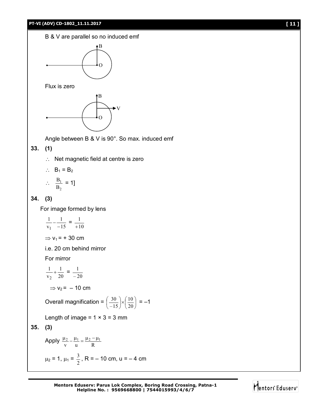#### **PT-VI (ADV) CD-1802\_11.11.2017 [ 11 ]**





Angle between B & V is 90°. So max. induced emf

#### **33. (1)**

 $\therefore$  Net magnetic field at centre is zero

$$
\therefore B_1 = B_2
$$

$$
\therefore B_1 = 11
$$

$$
\therefore \quad \frac{B_1}{B_2} = 1
$$

#### **34. (3)**

For image formed by lens

$$
\frac{1}{v_1} - \frac{1}{-15} = \frac{1}{+10}
$$

 $v_1$  -15

 $\Rightarrow$  v<sub>1</sub> = + 30 cm

i.e. 20 cm behind mirror

For mirror

$$
\frac{1}{v_2} + \frac{1}{20} = \frac{1}{-20}
$$

 $\Rightarrow$  v<sub>2</sub> = - 10 cm

Overall magnification =  $\frac{30}{16}$   $\times \frac{10}{20}$ J  $\left(\frac{10}{20}\right)$  $\overline{\phantom{0}}$  $\mathbf{x}$ J  $\left(\frac{30}{15}\right)$  $\overline{\phantom{0}}$ ſ 20 10 –15  $\frac{30}{15}$   $\times \left(\frac{10}{20}\right) = -1$ 

Length of image =  $1 \times 3 = 3$  mm

$$
35. (3)
$$

Apply  $\frac{\mu_2}{v} - \frac{\mu_1}{u} = \frac{\mu_2 - \mu_1}{R}$  $\mu_2 = 1, \ \mu_1 = \frac{3}{2}$  $\frac{3}{2}$ , R = – 10 cm, u = – 4 cm

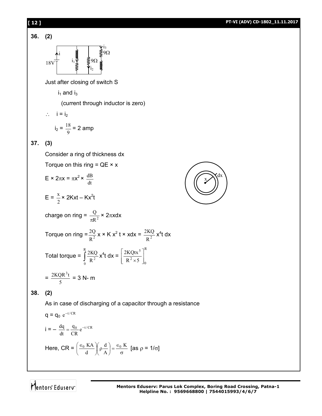#### **[ 12 ] PT-VI (ADV) CD-1802\_11.11.2017**

$$
36. (2)
$$

18V ≹9Ω  $9\Omega$  $i_1$  $\overline{1}$  $i_3$ i

Just after closing of switch S

 $i_1$  and  $i_3$ 

(current through inductor is zero)

$$
\therefore i = i_2
$$
  

$$
i_2 = \frac{18}{9} = 2 \text{ amp}
$$

## **37. (3)**

Consider a ring of thickness dx

Torque on this ring =  $QE \times x$ 

$$
E \times 2\pi x = \pi x^2 \times \frac{dB}{dt}
$$
  
\n
$$
E = \frac{x}{2} \times 2Kxt - Kx^2t
$$
  
\ncharge on ring =  $\frac{Q}{\pi R^2} \times 2\pi x dx$   
\nTorque on ring =  $\frac{2Q}{R^2} x \times Kx^2 t \times x dx = \frac{2KQ}{R^2}$   
\nTotal torque =  $\int_0^R \frac{2KQ}{R^2} x^4t dx = \left[\frac{2KQtx^5}{R^2 \times 5}\right]_0^R$ 

$$
=\frac{2KQR^3t}{5}=3 N-m
$$

#### **38. (2)**

As in case of discharging of a capacitor through a resistance

$$
q = q_0 e^{-t/CR}
$$
  
\n
$$
i = -\frac{dq}{dt} = \frac{q_0}{CR} e^{-t/CR}
$$
  
\nHere,  $CR = \left(\frac{\epsilon_0 KA}{d}\right) \left(\rho \frac{d}{A}\right) = \frac{\epsilon_0 K}{\sigma}$  [as  $\rho = 1/\sigma$ ]

Mentors Eduserv



x 4 t dx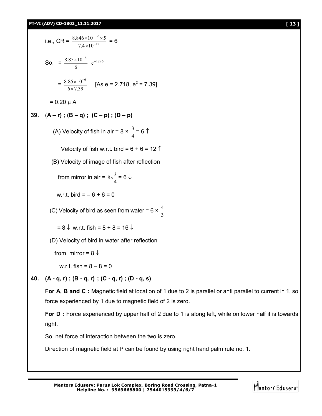i.e., 
$$
CR = \frac{8.846 \times 10^{-12} \times 5}{7.4 \times 10^{-12}} = 6
$$
  
\nSo,  $i = \frac{8.85 \times 10^{-6}}{6}$  e<sup>-12/6</sup>  
\n $= \frac{8.85 \times 10^{-6}}{6 \times 7.39}$  [As e = 2.718, e<sup>2</sup> = 7.39]  
\n= 0.20  $\mu$  A  
\n39. (A – r) ; (B – q) ; (C – p) ; (D – p)  
\n(A) Velocity of fish in air =  $8 \times \frac{3}{4} = 6$   $\uparrow$   
\n(B) Velocity of finsh w.r.t. bird = 6 + 6 = 12  $\uparrow$   
\n(B) Velocity of image of fish after reflection  
\nfrom mirror in air =  $8 \times \frac{3}{4} = 6 \downarrow$   
\nw.r.t. bird = – 6 + 6 = 0  
\n(C) Velocity of bird as seen from water =  $6 \times \frac{4}{3}$   
\n=  $8 \downarrow$  w.r.t. fish =  $8 + 8 = 16 \downarrow$   
\n(D) Velocity of bird in water after reflection  
\nfrom mirror =  $8 \downarrow$ 

w.r.t. fish =  $8 - 8 = 0$ 

**40. (A - q, r) ; (B - q, r) ; (C - q, r) ; (D - q, s)**

**For A, B and C :** Magnetic field at location of 1 due to 2 is parallel or anti parallel to current in 1, so force experienced by 1 due to magnetic field of 2 is zero.

For D : Force experienced by upper half of 2 due to 1 is along left, while on lower half it is towards right.

So, net force of interaction between the two is zero.

Direction of magnetic field at P can be found by using right hand palm rule no. 1.

$$
[\ 13\ ]
$$

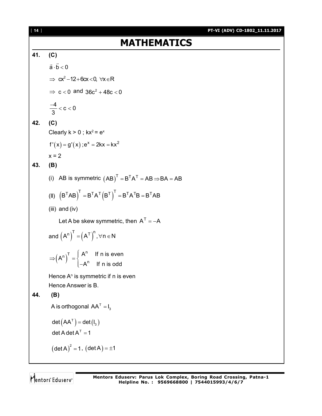# **MATHEMATICS**

41. (C)  
\n
$$
\vec{a} \cdot \vec{b} < 0
$$
  
\n $\Rightarrow \alpha^2 - 12 + 6\alpha < 0, \forall x \in R$   
\n $\Rightarrow c < 0$  and  $36c^2 + 48c < 0$   
\n $\frac{-4}{3} < c < 0$   
\n42. (C)  
\nClearly k > 0; kx<sup>2</sup> = e<sup>x</sup>  
\nf'(x) = g'(x); e<sup>x</sup> = 2kx = kx<sup>2</sup>  
\nx = 2  
\n43. (B)  
\n(i) AB is symmetric (AB)<sup>T</sup> = B<sup>T</sup>A<sup>T</sup> = AB ⇒ BA = AB  
\n(ii) (B<sup>T</sup>AB)<sup>T</sup> = B<sup>T</sup>A<sup>T</sup>(B<sup>T</sup>)<sup>T</sup> = B<sup>T</sup>A<sup>T</sup>B = B<sup>T</sup>AB  
\n(iii) and (iv)  
\nLet A be skew symmetric, then A<sup>T</sup> = -A  
\nand (A<sup>n</sup>)<sup>T</sup> = (A<sup>T</sup>)<sup>n</sup>, ∀n ∈ N  
\n $\Rightarrow$  (A<sup>n</sup>)<sup>T</sup> = { $\begin{cases} A^n & \text{If } n \text{ is even} \\ -A^n & \text{If } n \text{ is odd} \end{cases}$   
\nHence A<sup>n</sup> is symmetric if n is even  
\nHence Answer is B.  
\n44. (B)  
\nA is orthogonal AA<sup>T</sup> = I<sub>3</sub>  
\ndet(AA<sup>T</sup>) = det(I<sub>3</sub>)  
\ndet A det A<sup>T</sup> = 1  
\n(dtA)<sup>2</sup> = 1, (det A) = ±1

Mentors<sup>®</sup> Eduserv<sup>®</sup>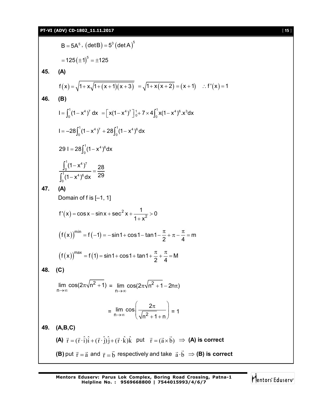B = 5A<sup>5</sup>. (det B) = 5<sup>3</sup> (det A)<sup>5</sup>  
\n= 125(+1)<sup>5</sup> = ±125  
\n45. (A)  
\n
$$
f(x) = \sqrt{1 + x\sqrt{1 + (x + 1)(x + 3)}} = \sqrt{1 + x(x + 2)} = (x + 1)
$$
  $\therefore f'(x) = 1$   
\n46. (B)  
\n
$$
I = \int_0^1 (1 - x^4)^7 dx = [x(1 - x^4)^7]_0^1 + 7 \times 4 \int_0^1 x(1 - x^4)^6 x^3 dx
$$
\n
$$
I = -28 \int_0^1 (1 - x^4)^7 dx
$$
\n29 I = 28  $\int_0^1 (1 - x^4)^6 dx$   
\n
$$
\frac{\int_0^1 (1 - x^4)^7 dx}{\int_0^1 (1 - x^4)^6 dx} = \frac{28}{29}
$$
\n47. (A)  
\nDomain of f is [-1, 1]  
\n $f'(x) = \cos x - \sin x + \sec^2 x + \frac{1}{1 + x^2} > 0$   
\n $(f(x))^{\min} = f(-1) = -\sin 1 + \cos 1 - \tan 1 - \frac{\pi}{2} + \pi - \frac{\pi}{4} = m$   
\n $(f(x))^{\max} = f(1) = \sin 1 + \cos 1 + \tan 1 + \frac{\pi}{2} + \frac{\pi}{4} = M$   
\n48. (C)  
\n
$$
\lim_{n \to \infty} \cos(2\pi \sqrt{n^2 + 1}) = \lim_{n \to \infty} \cos(2\pi \sqrt{n^2 + 1} - 2n\pi)
$$
\n
$$
= \lim_{n \to \infty} \cos\left(\frac{2\pi}{\sqrt{n^2 + 1} + n}\right) = 1
$$
\n49. (A, B, C)  
\n(A)  $\vec{r} = (\vec{r} \cdot \hat{i})\hat{i} + (\vec{r} \cdot \hat{j})\hat{j} + (\vec{r} \cdot \hat{k})\hat{k}$  put  $\vec{r} = (\vec{a} \times \vec{b}) \implies$  (A) is correct  
\n(B) put  $\vec{r} = \vec{a}$  and  $\vec{r} = \vec{b}$ 

Mentors<sup>e</sup> Eduserv<sup>-</sup>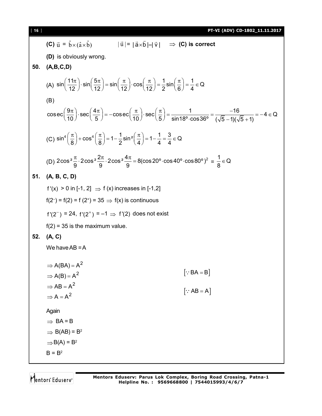[ **16** ] **PT-VI (ADV) CD-1802\_11.11.2017 (C)**  $\vec{u} = \hat{b} \times (\hat{a} \times \hat{b})$   $|\vec{u}|$  $\rightarrow$  $= |\vec{a} \times \vec{b}| = |\vec{v}| \Rightarrow (C)$  is correct **(D)** is obviously wrong. **50. (A,B,C,D)** (A)  $\sin\left(\frac{11\pi}{12}\right) \cdot \sin\left(\frac{5\pi}{12}\right) = \sin\left(\frac{\pi}{12}\right) \cdot \cos\left(\frac{\pi}{12}\right) = \frac{1}{2} \sin\left(\frac{\pi}{6}\right) = \frac{1}{4} \in \mathbb{Q}$  $\left(\frac{11\pi}{12}\right) \cdot \sin\left(\frac{5\pi}{12}\right) = \sin\left(\frac{\pi}{12}\right) \cdot \cos\left(\frac{\pi}{12}\right) = \frac{1}{2} \sin\left(\frac{\pi}{6}\right) = \frac{1}{4} \in \mathcal{C}$ (B)  $\csc\left(\frac{9\pi}{10}\right)$   $\sec\left(\frac{4\pi}{5}\right) = -\csc\left(\frac{\pi}{10}\right)$   $\sec\left(\frac{\pi}{5}\right) = \frac{1}{\sqrt{10}} = \frac{1}{\sqrt{10}} = \frac{-16}{\sqrt{10}} = -4 \in \mathbb{Q}$  $\left(\frac{9\pi}{10}\right) \cdot \sec\left(\frac{4\pi}{5}\right) = -\csc\left(\frac{\pi}{10}\right) \cdot \sec\left(\frac{\pi}{5}\right) = \frac{1}{\sin 18^\circ \cdot \cos 36^\circ} = \frac{-16}{(\sqrt{5}-1)(\sqrt{5}+1)} = -4 \in \mathbb{C}$ (C)  $\sin^4\left(\frac{\pi}{8}\right) + \cos^4\left(\frac{\pi}{8}\right) = 1 - \frac{1}{2}\sin^2\left(\frac{\pi}{4}\right) = 1 - \frac{1}{4} = \frac{3}{4} \in \mathbb{Q}$ (D)  $2\cos^2{\frac{\pi}{2}} \cdot 2\cos^2{\frac{2\pi}{3}} \cdot 2\cos^2{\frac{4\pi}{3}} = 8(\cos{20^\circ} \cdot \cos{40^\circ} \cdot \cos{80^\circ})^2$ 9 9 9  $\frac{\pi}{6}$  · 2 cos<sup>2</sup>  $\frac{2\pi}{6}$  · 2 cos<sup>2</sup>  $\frac{4\pi}{6}$  = 8(cos 20° · cos 40° · cos 80°)<sup>2</sup> =  $\frac{1}{6}$   $\in$  Q 8  $\in$ **51. (A, B, C, D)**  $f'(x) > 0$  in [-1, 2]  $\Rightarrow$  f (x) increases in [-1,2] f(2<sup>-</sup>) = f(2) = f (2<sup>+</sup>) = 35  $\Rightarrow$  f(x) is continuous  $f'(2^{-}) = 24$ ,  $f'(2^{+}) = -1 \implies f'(2)$  does not exist  $f(2) = 35$  is the maximum value. **52. (A, C)** We have  $AB = A$  $\Rightarrow$  A(BA) = A<sup>2</sup>  $\Rightarrow$  A(B) = A<sup>2</sup>  $\Rightarrow$  AB = A<sup>2</sup>  $\Rightarrow$  A = A<sup>2</sup>  $[\cdot$  BA = B]  $[\cdot:AB = A]$ Again  $\Rightarrow$  BA = B  $\Rightarrow$  B(AB) = B<sup>2</sup>  $\Rightarrow$  B(A) = B<sup>2</sup>  $B = B<sup>2</sup>$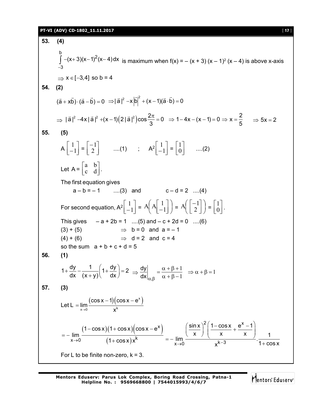#### **PT-VI (ADV) CD-1802\_11.11.2017** [ **17** ]

**53. (4)** b  $\int -(x+3)(x-1)^2(x-4)dx$  is maximum when f(x) = – (x + 3) (x – 1)<sup>2</sup> (x – 4) is above x-axis 3 - $\Rightarrow$  x  $\in$  [-3,4] so b = 4 **54. (2)**  $(\vec{a} + xb) \cdot (\vec{a} - b) = 0$  $(\vec{a} + x\vec{b}) \cdot (\vec{a} - \vec{b}) = 0 \implies |\vec{a}|^2 - x |\vec{b}|^2 + (x - 1)(\vec{a} \cdot \vec{b}) = 0$ ⇒ |a|<del>′</del> –4x|a|′ +(x – 1)(2|a|′ )≀  $|\vec{a}|^2 - 4x |\vec{a}|^2 + (x-1)(2 |\vec{a}|^2) \cos \frac{2\pi}{2} = 0$ 3  $-4x |\vec{a}|^2 + (x-1)(2 |\vec{a}|^2) \cos \frac{2\pi}{2} = 0$   $1 - 4x - (x - 1) = 0 \Rightarrow x = \frac{2}{5}$  $\Rightarrow$  1 - 4x - (x - 1) = 0  $\Rightarrow$  x =  $\frac{2}{5}$   $\Rightarrow$  5x = 2 **55. (5)**  $\mathsf{A} \left[ \begin{smallmatrix} 1 \ -1 \end{smallmatrix} \right]$ L  $\mathbf{r}$ 1 1  $=\begin{bmatrix} -1 \\ 2 \end{bmatrix}$ L  $\vert$  – 2  $\begin{bmatrix} 1 \\ 2 \end{bmatrix}$  ....(1) ;  $A^2 \begin{bmatrix} 1 \\ -1 \end{bmatrix}$  $\overline{\phantom{a}}$ L  $\mathbf{r}$ 1 1  $=\begin{bmatrix}1\\0\end{bmatrix}$ L  $\overline{ }$ 0  $\begin{bmatrix} 1 \\ 0 \end{bmatrix}$  ....(2) Let  $A = \begin{bmatrix} a & b \\ c & d \end{bmatrix}$ L c d  $\begin{bmatrix} a & b \\ c & d \end{bmatrix}$ . The first equation gives  $a - b = -1$  ....(3) and  $c - d = 2$  ....(4) For second equation,  $\mathsf{A}^2\begin{bmatrix}1\-1\end{bmatrix}$  $\overline{\phantom{a}}$ L L 1  $\begin{bmatrix} 1 \\ -1 \end{bmatrix}$  = A $\begin{bmatrix} A & 1 \\ -1 & 1 \end{bmatrix}$  $\bigg)$  $\left(A \begin{pmatrix} 1 \\ -1 \end{pmatrix} \right)$  $\setminus$ ſ  $\rfloor$  $\overline{\phantom{a}}$ L  $\overline{ }$  $A\left(\left.\begin{array}{c} 1 \\ -1 \end{array}\right|\right) = A\left(\left.\begin{array}{c} -1 \\ 2 \end{array}\right|\right)$  $\bigg)$  $\left( \begin{array}{c} -1 \\ 2 \end{array} \right)$  $\setminus$ ſ  $\rfloor$  $\overline{\phantom{a}}$  $\lfloor$  $\vert$  –  $A\left(\begin{bmatrix} -1 \\ 2 \end{bmatrix}\right) = \begin{bmatrix} 1 \\ 0 \end{bmatrix}$ L L 0  $\begin{matrix} 1 \\ 0 \end{matrix}$ . This gives  $- a + 2b = 1$  ....(5) and  $- c + 2d = 0$  ....(6)  $(3) + (5)$   $\implies$  b = 0 and a = -1  $(4) + (6)$   $\Rightarrow$  d = 2 and c = 4 so the sum  $a + b + c + d = 5$ **56. (1)**  $1 + \frac{dy}{dx} - \frac{1}{(x-1)^2} \left(1 + \frac{dy}{dx}\right) = 2$ dx  $(x+y)(dx)$  $+\frac{dy}{dx} - \frac{1}{(x+y)}\left(1+\frac{dy}{dx}\right) = 2 \Rightarrow \frac{dy}{dx}\Big|_{\alpha}$ dy dx $|_{\alpha,\beta}$  $=\frac{\alpha + \beta + 1}{\alpha + \beta} \Rightarrow \alpha + \beta = 1$  $\alpha + \beta - 1$ **57. (3)** Let L =  $\lim \frac{(\cos x - 1)(\cos x - e^{x})}{e^{x}}$  $x \rightarrow 0$   $X^k$  $\cos x - 1) (\cos x - e^x)$  $\lim_{x\to 0}$   $\frac{y}{x}$  $-1$ ) (  $\cos x - \epsilon$  $=$  $(1-\cos x)(1+\cos x)(\cos x - e^x)$  $(1 + \cos x)$ x  $x \rightarrow 0$   $(1 + \cos x)x^k$  $(1 - \cos x)(1 + \cos x)(\cos x - e^x)$ lim  $\rightarrow$ 0  $(1 + \cos x)x^{r}$  $-\cos x)(1+\cos x)(\cos x-\cos x)$  $= ^{+}$  $2(1 - \cos x)^{x}$  $x \rightarrow 0$   $x^{k-3}$  $\sin x$  | 1 - cos x e<sup>x</sup> -1  $\lim_{x\to 0} \frac{(x)(x-x)}{x^{k-3}} \cdot \frac{1}{1+\cos x}$  $= - \lim_{k \to \infty} \frac{\left(\frac{\sin x}{x}\right)^2 \left(\frac{1-\cos x}{x} + \frac{e^x - 1}{x}\right)}{\frac{1}{x^2}}$  $\ddot{}$ For L to be finite non-zero,  $k = 3$ .

Mentors<sup>e</sup> Eduserv<sup>®</sup>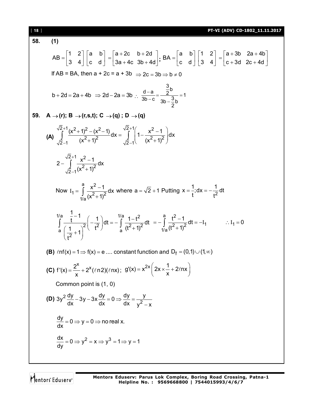[ **18** ] **PT-VI (ADV) CD-1802\_11.11.2017**

58. (1)  
\nAB = 
$$
\begin{bmatrix} 1 & 2 \\ 3 & 4 \end{bmatrix} \begin{bmatrix} a & b \\ c & d \end{bmatrix} = \begin{bmatrix} a+2c & b+2d \\ 3a+4c & 3b+4d \end{bmatrix}
$$
; BA =  $\begin{bmatrix} a & b \\ c & d \end{bmatrix} \begin{bmatrix} 1 & 2 \\ 3 & 4 \end{bmatrix} = \begin{bmatrix} a+3b & 2a+4b \\ c+3d & 2c+4d \end{bmatrix}$   
\nIf AB = BA, then a + 2c = a + 3b ⇒ 2c = 3b ⇒ b ≠ 0  
\nb + 2d = 2a + 4b ⇒ 2d - 2a = 3b ∴  $\frac{d-a}{3b-a} = \frac{\frac{3}{2}b}{3b-\frac{3}{2}b} = 1$   
\n59. A → (r); B → (r, s, t); C → (q); D → (q)  
\n(A)  $\int_{\sqrt{2}-1}^{\sqrt{2}+1} \frac{(x^2+1)^2 - (x^2-1)}{(x^2+1)^2} dx = \int_{\sqrt{2}-1}^{\sqrt{2}+1} \left(1-\frac{x^2-1}{(x^2+1)^2}\right) dx$   
\n $2-\int_{\sqrt{2}-1}^{\sqrt{2}+1} \frac{x^2-1}{(x^2+1)^2} dx$   
\nNow I<sub>1</sub> =  $\int_{1/a}^{a} \frac{x^2-1}{(x^2+1)^2} dx$  where a =  $\sqrt{2}+1$  Putting x =  $\frac{1}{t}$ : dx =  $-\frac{1}{t^2}$  dt  
\nNow I<sub>1</sub> =  $\int_{1/a}^{a} \frac{1}{(x^2+1)^2} dx = \int_{a}^{1/a} \frac{1-t^2}{(t^2+1)^2} dt = -\int_{1/a}^{a} \frac{t^2-1}{(t^2+1)^2} dt = -I_1$  ∴  $I_1 = 0$   
\na  $\left(\frac{1}{t^2}+1\right)^2 \left(-\frac{1}{t^2}\right) dt = -\int_{a}^{1/a} \frac{1-t^2}{(t^2+1)^2} dt = -\int_{1/a}^{a} \frac{t^2-1}{(t^2+1)^2} dt$ 

Mentors<sup>e</sup> Eduserv<sup>-</sup>